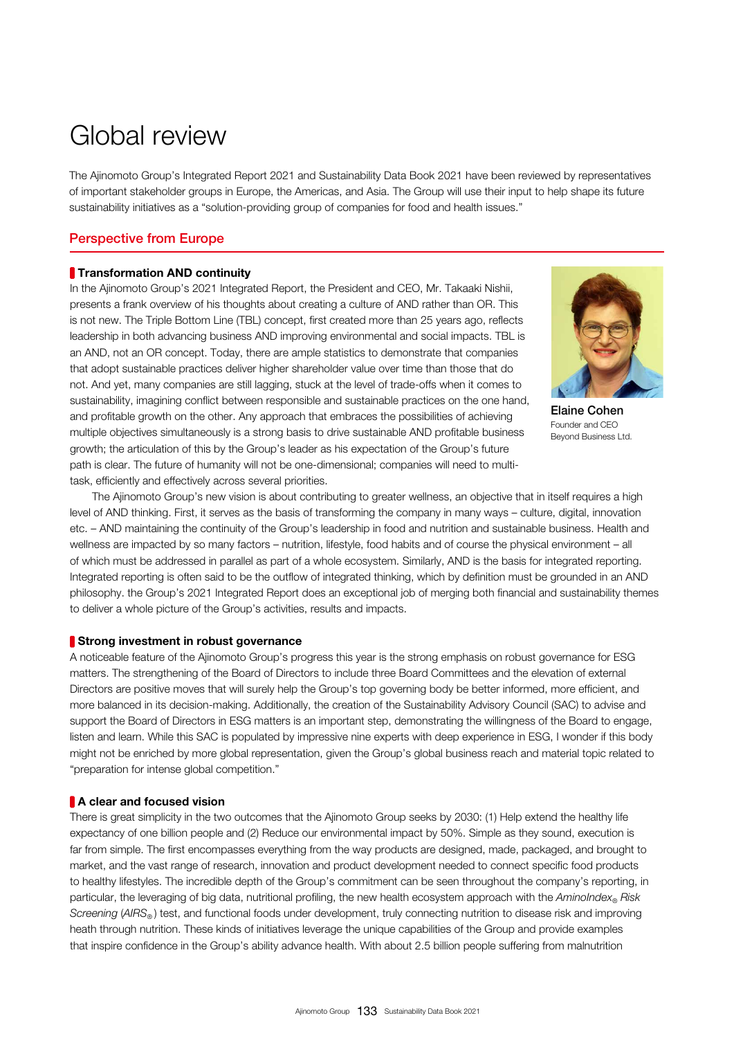expectancy of one billion people and (2) Reduce our environmental impact by 50%. Simple as they sound, execution is far from simple. The first encompasses everything from the way products are designed, made, packaged, and brought to market, and the vast range of research, innovation and product development needed to connect specific food products to healthy lifestyles. The incredible depth of the Group's commitment can be seen throughout the company's reporting, in particular, the leveraging of big data, nutritional profiling, the new health ecosystem approach with the *AminoIndex*<sup>®</sup> Risk *Screening* (*AIRS®* ) test, and functional foods under development, truly connecting nutrition to disease risk and improving heath through nutrition. These kinds of initiatives leverage the unique capabilities of the Group and provide examples that inspire confidence in the Group's ability advance health. With about 2.5 billion people suffering from malnutrition

There is great simplicity in the two outcomes that the Ajinomoto Group seeks by 2030: (1) Help extend the healthy life

#### A clear and focused vision

matters. The strengthening of the Board of Directors to include three Board Committees and the elevation of external Directors are positive moves that will surely help the Group's top governing body be better informed, more efficient, and more balanced in its decision-making. Additionally, the creation of the Sustainability Advisory Council (SAC) to advise and support the Board of Directors in ESG matters is an important step, demonstrating the willingness of the Board to engage, listen and learn. While this SAC is populated by impressive nine experts with deep experience in ESG, I wonder if this body might not be enriched by more global representation, given the Group's global business reach and material topic related to "preparation for intense global competition."

etc. – AND maintaining the continuity of the Group's leadership in food and nutrition and sustainable business. Health and wellness are impacted by so many factors – nutrition, lifestyle, food habits and of course the physical environment – all of which must be addressed in parallel as part of a whole ecosystem. Similarly, AND is the basis for integrated reporting. Integrated reporting is often said to be the outflow of integrated thinking, which by definition must be grounded in an AND philosophy. the Group's 2021 Integrated Report does an exceptional job of merging both financial and sustainability themes to deliver a whole picture of the Group's activities, results and impacts. Strong investment in robust governance A noticeable feature of the Ajinomoto Group's progress this year is the strong emphasis on robust governance for ESG

 The Ajinomoto Group's new vision is about contributing to greater wellness, an objective that in itself requires a high level of AND thinking. First, it serves as the basis of transforming the company in many ways – culture, digital, innovation

# **Transformation AND continuity**

Perspective from Europe

In the Ajinomoto Group's 2021 Integrated Report, the President and CEO, Mr. Takaaki Nishii, presents a frank overview of his thoughts about creating a culture of AND rather than OR. This is not new. The Triple Bottom Line (TBL) concept, first created more than 25 years ago, reflects leadership in both advancing business AND improving environmental and social impacts. TBL is an AND, not an OR concept. Today, there are ample statistics to demonstrate that companies that adopt sustainable practices deliver higher shareholder value over time than those that do not. And yet, many companies are still lagging, stuck at the level of trade-offs when it comes to sustainability, imagining conflict between responsible and sustainable practices on the one hand, and profitable growth on the other. Any approach that embraces the possibilities of achieving multiple objectives simultaneously is a strong basis to drive sustainable AND profitable business growth; the articulation of this by the Group's leader as his expectation of the Group's future path is clear. The future of humanity will not be one-dimensional; companies will need to multitask, efficiently and effectively across several priorities.

Elaine Cohen Founder and CEO Beyond Business Ltd.

The Ajinomoto Group's Integrated Report 2021 and Sustainability Data Book 2021 have been reviewed by representatives of important stakeholder groups in Europe, the Americas, and Asia. The Group will use their input to help shape its future sustainability initiatives as a "solution-providing group of companies for food and health issues."

# Global review



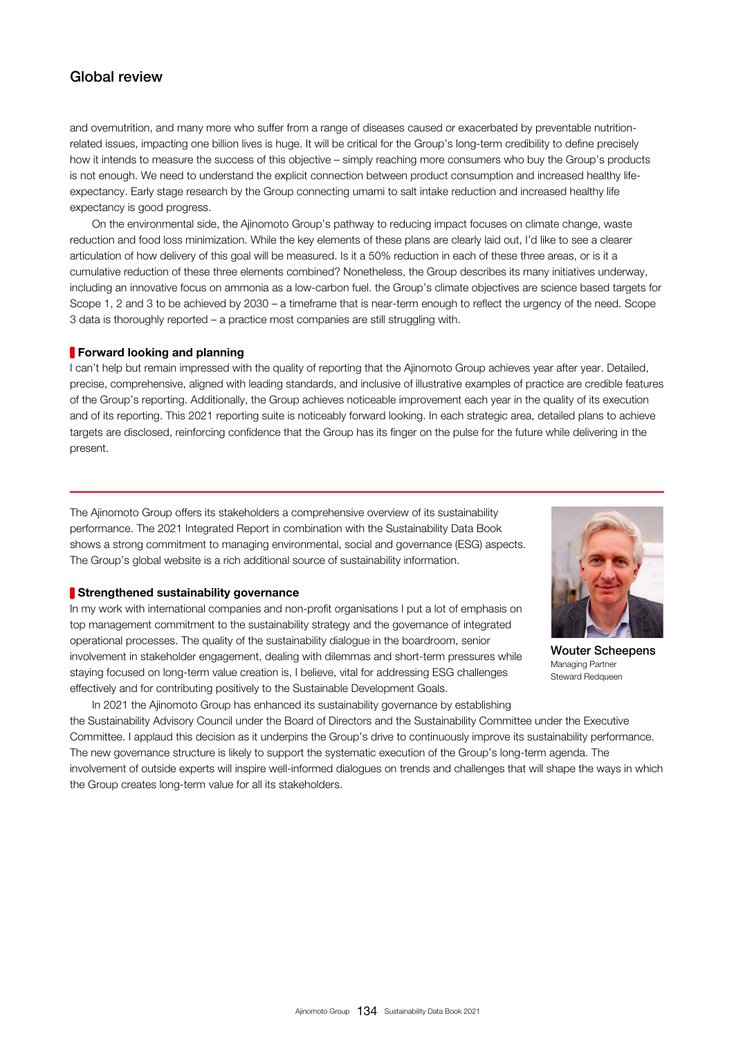and overnutrition, and many more who suffer from a range of diseases caused or exacerbated by preventable nutritionrelated issues, impacting one billion lives is huge. It will be critical for the Group's long-term credibility to define precisely how it intends to measure the success of this objective – simply reaching more consumers who buy the Group's products is not enough. We need to understand the explicit connection between product consumption and increased healthy lifeexpectancy. Early stage research by the Group connecting umami to salt intake reduction and increased healthy life expectancy is good progress.

 On the environmental side, the Ajinomoto Group's pathway to reducing impact focuses on climate change, waste reduction and food loss minimization. While the key elements of these plans are clearly laid out, I'd like to see a clearer articulation of how delivery of this goal will be measured. Is it a 50% reduction in each of these three areas, or is it a cumulative reduction of these three elements combined? Nonetheless, the Group describes its many initiatives underway, including an innovative focus on ammonia as a low-carbon fuel. the Group's climate objectives are science based targets for Scope 1, 2 and 3 to be achieved by 2030 – a timeframe that is near-term enough to reflect the urgency of the need. Scope 3 data is thoroughly reported – a practice most companies are still struggling with.

#### **Forward looking and planning**

I can't help but remain impressed with the quality of reporting that the Ajinomoto Group achieves year after year. Detailed, precise, comprehensive, aligned with leading standards, and inclusive of illustrative examples of practice are credible features of the Group's reporting. Additionally, the Group achieves noticeable improvement each year in the quality of its execution and of its reporting. This 2021 reporting suite is noticeably forward looking. In each strategic area, detailed plans to achieve targets are disclosed, reinforcing confidence that the Group has its finger on the pulse for the future while delivering in the present.

The Ajinomoto Group offers its stakeholders a comprehensive overview of its sustainability performance. The 2021 Integrated Report in combination with the Sustainability Data Book shows a strong commitment to managing environmental, social and governance (ESG) aspects. The Group's global website is a rich additional source of sustainability information.

#### **Strengthened sustainability governance**

In my work with international companies and non-profit organisations I put a lot of emphasis on top management commitment to the sustainability strategy and the governance of integrated operational processes. The quality of the sustainability dialogue in the boardroom, senior involvement in stakeholder engagement, dealing with dilemmas and short-term pressures while staying focused on long-term value creation is, I believe, vital for addressing ESG challenges effectively and for contributing positively to the Sustainable Development Goals.



Wouter Scheepens Managing Partner Steward Redqueen

 In 2021 the Ajinomoto Group has enhanced its sustainability governance by establishing the Sustainability Advisory Council under the Board of Directors and the Sustainability Committee under the Executive Committee. I applaud this decision as it underpins the Group's drive to continuously improve its sustainability performance. The new governance structure is likely to support the systematic execution of the Group's long-term agenda. The involvement of outside experts will inspire well-informed dialogues on trends and challenges that will shape the ways in which the Group creates long-term value for all its stakeholders.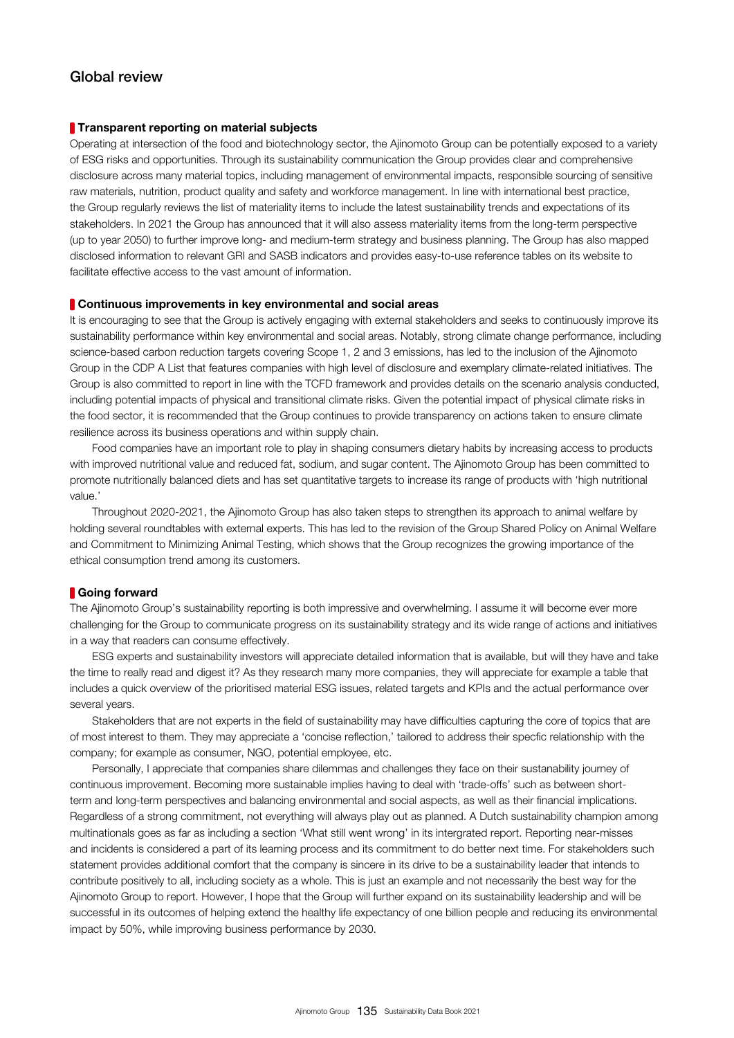#### **Transparent reporting on material subjects**

Operating at intersection of the food and biotechnology sector, the Ajinomoto Group can be potentially exposed to a variety of ESG risks and opportunities. Through its sustainability communication the Group provides clear and comprehensive disclosure across many material topics, including management of environmental impacts, responsible sourcing of sensitive raw materials, nutrition, product quality and safety and workforce management. In line with international best practice, the Group regularly reviews the list of materiality items to include the latest sustainability trends and expectations of its stakeholders. In 2021 the Group has announced that it will also assess materiality items from the long-term perspective (up to year 2050) to further improve long- and medium-term strategy and business planning. The Group has also mapped disclosed information to relevant GRI and SASB indicators and provides easy-to-use reference tables on its website to facilitate effective access to the vast amount of information.

#### **Continuous improvements in key environmental and social areas**

It is encouraging to see that the Group is actively engaging with external stakeholders and seeks to continuously improve its sustainability performance within key environmental and social areas. Notably, strong climate change performance, including science-based carbon reduction targets covering Scope 1, 2 and 3 emissions, has led to the inclusion of the Ajinomoto Group in the CDP A List that features companies with high level of disclosure and exemplary climate-related initiatives. The Group is also committed to report in line with the TCFD framework and provides details on the scenario analysis conducted, including potential impacts of physical and transitional climate risks. Given the potential impact of physical climate risks in the food sector, it is recommended that the Group continues to provide transparency on actions taken to ensure climate resilience across its business operations and within supply chain.

 Food companies have an important role to play in shaping consumers dietary habits by increasing access to products with improved nutritional value and reduced fat, sodium, and sugar content. The Ajinomoto Group has been committed to promote nutritionally balanced diets and has set quantitative targets to increase its range of products with 'high nutritional value.'

 Throughout 2020-2021, the Ajinomoto Group has also taken steps to strengthen its approach to animal welfare by holding several roundtables with external experts. This has led to the revision of the Group Shared Policy on Animal Welfare and Commitment to Minimizing Animal Testing, which shows that the Group recognizes the growing importance of the ethical consumption trend among its customers.

#### Going forward

The Ajinomoto Group's sustainability reporting is both impressive and overwhelming. I assume it will become ever more challenging for the Group to communicate progress on its sustainability strategy and its wide range of actions and initiatives in a way that readers can consume effectively.

 ESG experts and sustainability investors will appreciate detailed information that is available, but will they have and take the time to really read and digest it? As they research many more companies, they will appreciate for example a table that includes a quick overview of the prioritised material ESG issues, related targets and KPIs and the actual performance over several years.

 Stakeholders that are not experts in the field of sustainability may have difficulties capturing the core of topics that are of most interest to them. They may appreciate a 'concise reflection,' tailored to address their specfic relationship with the company; for example as consumer, NGO, potential employee, etc.

 Personally, I appreciate that companies share dilemmas and challenges they face on their sustanability journey of continuous improvement. Becoming more sustainable implies having to deal with 'trade-offs' such as between shortterm and long-term perspectives and balancing environmental and social aspects, as well as their financial implications. Regardless of a strong commitment, not everything will always play out as planned. A Dutch sustainability champion among multinationals goes as far as including a section 'What still went wrong' in its intergrated report. Reporting near-misses and incidents is considered a part of its learning process and its commitment to do better next time. For stakeholders such statement provides additional comfort that the company is sincere in its drive to be a sustainability leader that intends to contribute positively to all, including society as a whole. This is just an example and not necessarily the best way for the Ajinomoto Group to report. However, I hope that the Group will further expand on its sustainability leadership and will be successful in its outcomes of helping extend the healthy life expectancy of one billion people and reducing its environmental impact by 50%, while improving business performance by 2030.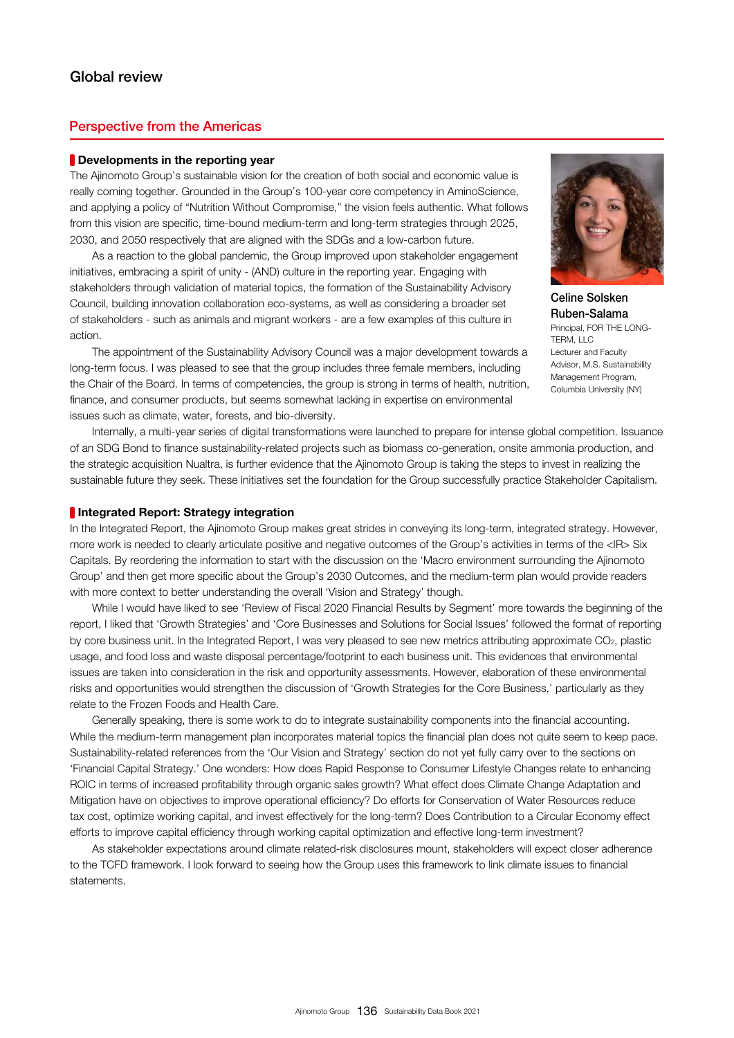### Perspective from the Americas

#### **Developments in the reporting year**

The Ajinomoto Group's sustainable vision for the creation of both social and economic value is really coming together. Grounded in the Group's 100-year core competency in AminoScience, and applying a policy of "Nutrition Without Compromise," the vision feels authentic. What follows from this vision are specific, time-bound medium-term and long-term strategies through 2025, 2030, and 2050 respectively that are aligned with the SDGs and a low-carbon future.

 As a reaction to the global pandemic, the Group improved upon stakeholder engagement initiatives, embracing a spirit of unity - (AND) culture in the reporting year. Engaging with stakeholders through validation of material topics, the formation of the Sustainability Advisory Council, building innovation collaboration eco-systems, as well as considering a broader set of stakeholders - such as animals and migrant workers - are a few examples of this culture in action.



Celine Solsken Ruben-Salama Principal, FOR THE LONG-TERM, LLC Lecturer and Faculty Advisor, M.S. Sustainability Management Program, Columbia University (NY)

 The appointment of the Sustainability Advisory Council was a major development towards a long-term focus. I was pleased to see that the group includes three female members, including the Chair of the Board. In terms of competencies, the group is strong in terms of health, nutrition, finance, and consumer products, but seems somewhat lacking in expertise on environmental issues such as climate, water, forests, and bio-diversity.

 Internally, a multi-year series of digital transformations were launched to prepare for intense global competition. Issuance of an SDG Bond to finance sustainability-related projects such as biomass co-generation, onsite ammonia production, and the strategic acquisition Nualtra, is further evidence that the Ajinomoto Group is taking the steps to invest in realizing the sustainable future they seek. These initiatives set the foundation for the Group successfully practice Stakeholder Capitalism.

#### **Integrated Report: Strategy integration**

In the Integrated Report, the Ajinomoto Group makes great strides in conveying its long-term, integrated strategy. However, more work is needed to clearly articulate positive and negative outcomes of the Group's activities in terms of the <IR> Six Capitals. By reordering the information to start with the discussion on the 'Macro environment surrounding the Ajinomoto Group' and then get more specific about the Group's 2030 Outcomes, and the medium-term plan would provide readers with more context to better understanding the overall 'Vision and Strategy' though.

 While I would have liked to see 'Review of Fiscal 2020 Financial Results by Segment' more towards the beginning of the report, I liked that 'Growth Strategies' and 'Core Businesses and Solutions for Social Issues' followed the format of reporting by core business unit. In the Integrated Report, I was very pleased to see new metrics attributing approximate CO<sub>2</sub>, plastic usage, and food loss and waste disposal percentage/footprint to each business unit. This evidences that environmental issues are taken into consideration in the risk and opportunity assessments. However, elaboration of these environmental risks and opportunities would strengthen the discussion of 'Growth Strategies for the Core Business,' particularly as they relate to the Frozen Foods and Health Care.

 Generally speaking, there is some work to do to integrate sustainability components into the financial accounting. While the medium-term management plan incorporates material topics the financial plan does not quite seem to keep pace. Sustainability-related references from the 'Our Vision and Strategy' section do not yet fully carry over to the sections on 'Financial Capital Strategy.' One wonders: How does Rapid Response to Consumer Lifestyle Changes relate to enhancing ROIC in terms of increased profitability through organic sales growth? What effect does Climate Change Adaptation and Mitigation have on objectives to improve operational efficiency? Do efforts for Conservation of Water Resources reduce tax cost, optimize working capital, and invest effectively for the long-term? Does Contribution to a Circular Economy effect efforts to improve capital efficiency through working capital optimization and effective long-term investment?

 As stakeholder expectations around climate related-risk disclosures mount, stakeholders will expect closer adherence to the TCFD framework. I look forward to seeing how the Group uses this framework to link climate issues to financial statements.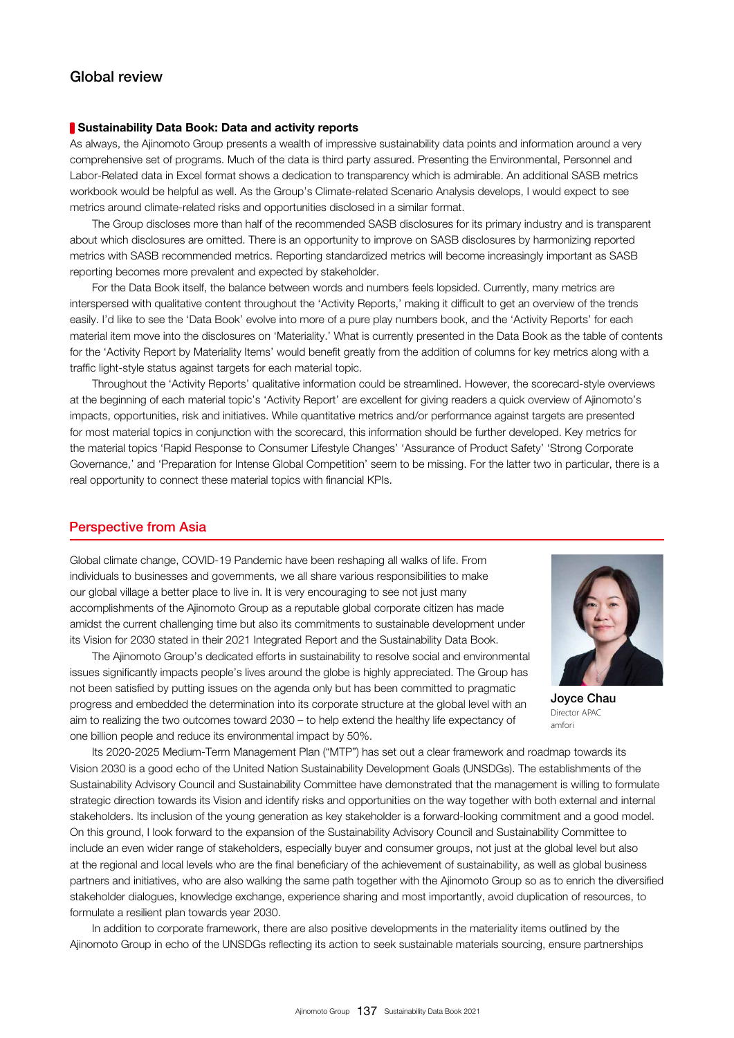#### Sustainability Data Book: Data and activity reports

As always, the Ajinomoto Group presents a wealth of impressive sustainability data points and information around a very comprehensive set of programs. Much of the data is third party assured. Presenting the Environmental, Personnel and Labor-Related data in Excel format shows a dedication to transparency which is admirable. An additional SASB metrics workbook would be helpful as well. As the Group's Climate-related Scenario Analysis develops, I would expect to see metrics around climate-related risks and opportunities disclosed in a similar format.

 The Group discloses more than half of the recommended SASB disclosures for its primary industry and is transparent about which disclosures are omitted. There is an opportunity to improve on SASB disclosures by harmonizing reported metrics with SASB recommended metrics. Reporting standardized metrics will become increasingly important as SASB reporting becomes more prevalent and expected by stakeholder.

 For the Data Book itself, the balance between words and numbers feels lopsided. Currently, many metrics are interspersed with qualitative content throughout the 'Activity Reports,' making it difficult to get an overview of the trends easily. I'd like to see the 'Data Book' evolve into more of a pure play numbers book, and the 'Activity Reports' for each material item move into the disclosures on 'Materiality.' What is currently presented in the Data Book as the table of contents for the 'Activity Report by Materiality Items' would benefit greatly from the addition of columns for key metrics along with a traffic light-style status against targets for each material topic.

 Throughout the 'Activity Reports' qualitative information could be streamlined. However, the scorecard-style overviews at the beginning of each material topic's 'Activity Report' are excellent for giving readers a quick overview of Ajinomoto's impacts, opportunities, risk and initiatives. While quantitative metrics and/or performance against targets are presented for most material topics in conjunction with the scorecard, this information should be further developed. Key metrics for the material topics 'Rapid Response to Consumer Lifestyle Changes' 'Assurance of Product Safety' 'Strong Corporate Governance,' and 'Preparation for Intense Global Competition' seem to be missing. For the latter two in particular, there is a real opportunity to connect these material topics with financial KPIs.

#### Perspective from Asia

Global climate change, COVID-19 Pandemic have been reshaping all walks of life. From individuals to businesses and governments, we all share various responsibilities to make our global village a better place to live in. It is very encouraging to see not just many accomplishments of the Ajinomoto Group as a reputable global corporate citizen has made amidst the current challenging time but also its commitments to sustainable development under its Vision for 2030 stated in their 2021 Integrated Report and the Sustainability Data Book.

 The Ajinomoto Group's dedicated efforts in sustainability to resolve social and environmental issues significantly impacts people's lives around the globe is highly appreciated. The Group has not been satisfied by putting issues on the agenda only but has been committed to pragmatic progress and embedded the determination into its corporate structure at the global level with an aim to realizing the two outcomes toward 2030 – to help extend the healthy life expectancy of one billion people and reduce its environmental impact by 50%.



Joyce Chau Director APAC amfori

 Its 2020-2025 Medium-Term Management Plan ("MTP") has set out a clear framework and roadmap towards its Vision 2030 is a good echo of the United Nation Sustainability Development Goals (UNSDGs). The establishments of the Sustainability Advisory Council and Sustainability Committee have demonstrated that the management is willing to formulate strategic direction towards its Vision and identify risks and opportunities on the way together with both external and internal stakeholders. Its inclusion of the young generation as key stakeholder is a forward-looking commitment and a good model. On this ground, I look forward to the expansion of the Sustainability Advisory Council and Sustainability Committee to include an even wider range of stakeholders, especially buyer and consumer groups, not just at the global level but also at the regional and local levels who are the final beneficiary of the achievement of sustainability, as well as global business partners and initiatives, who are also walking the same path together with the Ajinomoto Group so as to enrich the diversified stakeholder dialogues, knowledge exchange, experience sharing and most importantly, avoid duplication of resources, to formulate a resilient plan towards year 2030.

 In addition to corporate framework, there are also positive developments in the materiality items outlined by the Ajinomoto Group in echo of the UNSDGs reflecting its action to seek sustainable materials sourcing, ensure partnerships